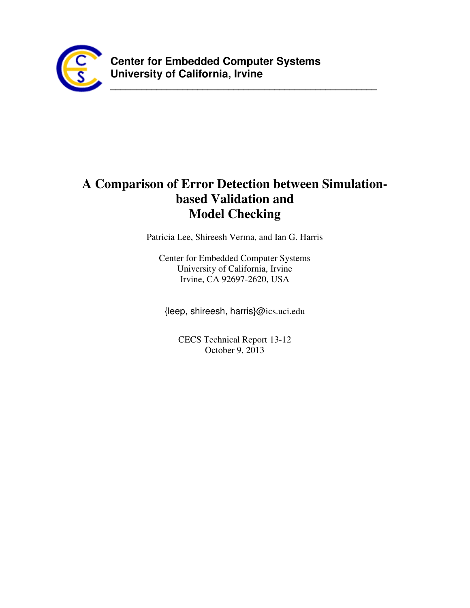

**\_\_\_\_\_\_\_\_\_\_\_\_\_\_\_\_\_\_\_\_\_\_\_\_\_\_\_\_\_\_\_\_\_\_\_\_\_\_\_\_\_\_\_\_\_\_\_\_\_\_\_\_**

# **A Comparison of Error Detection between Simulationbased Validation and Model Checking**

Patricia Lee, Shireesh Verma, and Ian G. Harris

Center for Embedded Computer Systems University of California, Irvine Irvine, CA 92697-2620, USA

{leep, shireesh, harris}@ics.uci.edu

CECS Technical Report 13-12 October 9, 2013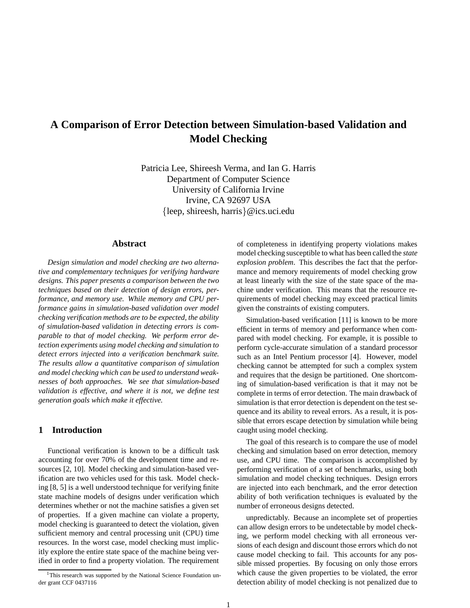## **A Comparison of Error Detection between Simulation-based Validation and Model Checking**

Patricia Lee, Shireesh Verma, and Ian G. Harris Department of Computer Science University of California Irvine Irvine, CA 92697 USA {leep, shireesh, harris}@ics.uci.edu

#### **Abstract**

*Design simulation and model checking are two alternative and complementary techniques for verifying hardware designs. This paper presents a comparison between the two techniques based on their detection of design errors, performance, and memory use. While memory and CPU performance gains in simulation-based validation over model checking verification methods are to be expected, the ability of simulation-based validation in detecting errors is comparable to that of model checking. We perform error detection experiments using model checking and simulation to detect errors injected into a verification benchmark suite. The results allow a quantitative comparison of simulation and model checking which can be used to understand weaknesses of both approaches. We see that simulation-based validation is effective, and where it is not, we define test generation goals which make it effective.*

## **1 Introduction**

Functional verification is known to be a difficult task accounting for over 70% of the development time and resources [2, 10]. Model checking and simulation-based verification are two vehicles used for this task. Model checking [8, 5] is a well understood technique for verifying finite state machine models of designs under verification which determines whether or not the machine satisfies a given set of properties. If a given machine can violate a property, model checking is guaranteed to detect the violation, given sufficient memory and central processing unit (CPU) time resources. In the worst case, model checking must implicitly explore the entire state space of the machine being verified in order to find a property violation. The requirement

of completeness in identifying property violations makes model checking susceptible to what has been called the *state explosion problem*. This describes the fact that the performance and memory requirements of model checking grow at least linearly with the size of the state space of the machine under verification. This means that the resource requirements of model checking may exceed practical limits given the constraints of existing computers.

Simulation-based verification [11] is known to be more efficient in terms of memory and performance when compared with model checking. For example, it is possible to perform cycle-accurate simulation of a standard processor such as an Intel Pentium processor [4]. However, model checking cannot be attempted for such a complex system and requires that the design be partitioned. One shortcoming of simulation-based verification is that it may not be complete in terms of error detection. The main drawback of simulation is that error detection is dependent on the test sequence and its ability to reveal errors. As a result, it is possible that errors escape detection by simulation while being caught using model checking.

The goal of this research is to compare the use of model checking and simulation based on error detection, memory use, and CPU time. The comparison is accomplished by performing verification of a set of benchmarks, using both simulation and model checking techniques. Design errors are injected into each benchmark, and the error detection ability of both verification techniques is evaluated by the number of erroneous designs detected.

unpredictably. Because an incomplete set of properties can allow design errors to be undetectable by model checking, we perform model checking with all erroneous versions of each design and discount those errors which do not cause model checking to fail. This accounts for any possible missed properties. By focusing on only those errors which cause the given properties to be violated, the error detection ability of model checking is not penalized due to

<sup>&</sup>lt;sup>1</sup>This research was supported by the National Science Foundation under grant CCF 0437116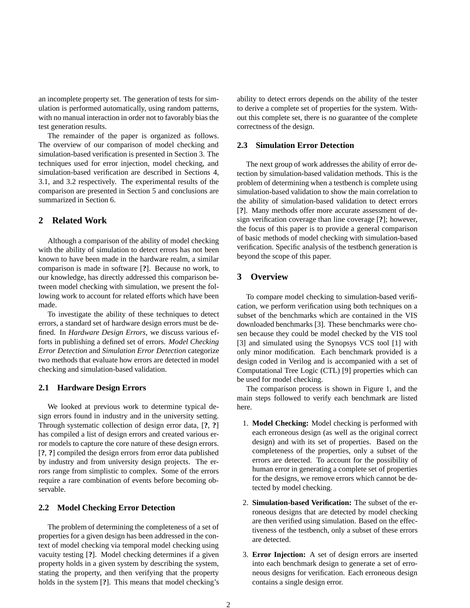an incomplete property set. The generation of tests for simulation is performed automatically, using random patterns, with no manual interaction in order not to favorably bias the test generation results.

The remainder of the paper is organized as follows. The overview of our comparison of model checking and simulation-based verification is presented in Section 3. The techniques used for error injection, model checking, and simulation-based verification are described in Sections 4, 3.1, and 3.2 respectively. The experimental results of the comparison are presented in Section 5 and conclusions are summarized in Section 6.

## **2 Related Work**

Although a comparison of the ability of model checking with the ability of simulation to detect errors has not been known to have been made in the hardware realm, a similar comparison is made in software [**?**]. Because no work, to our knowledge, has directly addressed this comparison between model checking with simulation, we present the following work to account for related efforts which have been made.

To investigate the ability of these techniques to detect errors, a standard set of hardware design errors must be defined. In *Hardware Design Errors*, we discuss various efforts in publishing a defined set of errors. *Model Checking Error Detection* and *Simulation Error Detection* categorize two methods that evaluate how errors are detected in model checking and simulation-based validation.

## **2.1 Hardware Design Errors**

We looked at previous work to determine typical design errors found in industry and in the university setting. Through systematic collection of design error data, [**?**, **?**] has compiled a list of design errors and created various error models to capture the core nature of these design errors. [**?**, **?**] compiled the design errors from error data published by industry and from university design projects. The errors range from simplistic to complex. Some of the errors require a rare combination of events before becoming observable.

#### **2.2 Model Checking Error Detection**

The problem of determining the completeness of a set of properties for a given design has been addressed in the context of model checking via temporal model checking using vacuity testing [**?**]. Model checking determines if a given property holds in a given system by describing the system, stating the property, and then verifying that the property holds in the system [**?**]. This means that model checking's

ability to detect errors depends on the ability of the tester to derive a complete set of properties for the system. Without this complete set, there is no guarantee of the complete correctness of the design.

#### **2.3 Simulation Error Detection**

The next group of work addresses the ability of error detection by simulation-based validation methods. This is the problem of determining when a testbench is complete using simulation-based validation to show the main correlation to the ability of simulation-based validation to detect errors [**?**]. Many methods offer more accurate assessment of design verification coverage than line coverage [**?**]; however, the focus of this paper is to provide a general comparison of basic methods of model checking with simulation-based verification. Specific analysis of the testbench generation is beyond the scope of this paper.

## **3 Overview**

To compare model checking to simulation-based verification, we perform verification using both techniques on a subset of the benchmarks which are contained in the VIS downloaded benchmarks [3]. These benchmarks were chosen because they could be model checked by the VIS tool [3] and simulated using the Synopsys VCS tool [1] with only minor modification. Each benchmark provided is a design coded in Verilog and is accompanied with a set of Computational Tree Logic (CTL) [9] properties which can be used for model checking.

The comparison process is shown in Figure 1, and the main steps followed to verify each benchmark are listed here.

- 1. **Model Checking:** Model checking is performed with each erroneous design (as well as the original correct design) and with its set of properties. Based on the completeness of the properties, only a subset of the errors are detected. To account for the possibility of human error in generating a complete set of properties for the designs, we remove errors which cannot be detected by model checking.
- 2. **Simulation-based Verification:** The subset of the erroneous designs that are detected by model checking are then verified using simulation. Based on the effectiveness of the testbench, only a subset of these errors are detected.
- 3. **Error Injection:** A set of design errors are inserted into each benchmark design to generate a set of erroneous designs for verification. Each erroneous design contains a single design error.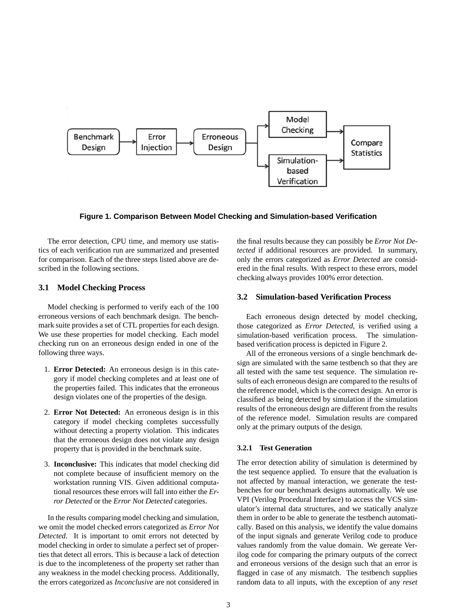

**Figure 1. Comparison Between Model Checking and Simulation-based Verification**

The error detection, CPU time, and memory use statistics of each verification run are summarized and presented for comparison. Each of the three steps listed above are described in the following sections.

## **3.1 Model Checking Process**

Model checking is performed to verify each of the 100 erroneous versions of each benchmark design. The benchmark suite provides a set of CTL properties for each design. We use these properties for model checking. Each model checking run on an erroneous design ended in one of the following three ways.

- 1. **Error Detected:** An erroneous design is in this category if model checking completes and at least one of the properties failed. This indicates that the erroneous design violates one of the properties of the design.
- 2. **Error Not Detected:** An erroneous design is in this category if model checking completes successfully without detecting a property violation. This indicates that the erroneous design does not violate any design property that is provided in the benchmark suite.
- 3. **Inconclusive:** This indicates that model checking did not complete because of insufficient memory on the workstation running VIS. Given additional computational resources these errors will fall into either the *Error Detected* or the *Error Not Detected* categories.

In the results comparing model checking and simulation, we omit the model checked errors categorized as *Error Not Detected*. It is important to omit errors not detected by model checking in order to simulate a perfect set of properties that detect all errors. This is because a lack of detection is due to the incompleteness of the property set rather than any weakness in the model checking process. Additionally, the errors categorized as *Inconclusive* are not considered in

the final results because they can possibly be *Error Not Detected* if additional resources are provided. In summary, only the errors categorized as *Error Detected* are considered in the final results. With respect to these errors, model checking always provides 100% error detection.

## **3.2 Simulation-based Verification Process**

Each erroneous design detected by model checking, those categorized as *Error Detected*, is verified using a simulation-based verification process. The simulationbased verification process is depicted in Figure 2.

All of the erroneous versions of a single benchmark design are simulated with the same testbench so that they are all tested with the same test sequence. The simulation results of each erroneous design are compared to the results of the reference model, which is the correct design. An error is classified as being detected by simulation if the simulation results of the erroneous design are different from the results of the reference model. Simulation results are compared only at the primary outputs of the design.

## **3.2.1 Test Generation**

The error detection ability of simulation is determined by the test sequence applied. To ensure that the evaluation is not affected by manual interaction, we generate the testbenches for our benchmark designs automatically. We use VPI (Verilog Procedural Interface) to access the VCS simulator's internal data structures, and we statically analyze them in order to be able to generate the testbench automatically. Based on this analysis, we identify the value domains of the input signals and generate Verilog code to produce values randomly from the value domain. We gereate Verilog code for comparing the primary outputs of the correct and erroneous versions of the design such that an error is flagged in case of any mismatch. The testbench supplies random data to all inputs, with the exception of any *reset*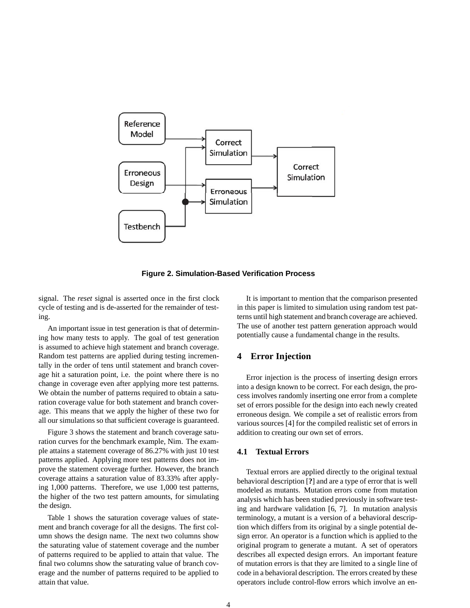

**Figure 2. Simulation-Based Verification Process**

signal. The *reset* signal is asserted once in the first clock cycle of testing and is de-asserted for the remainder of testing.

An important issue in test generation is that of determining how many tests to apply. The goal of test generation is assumed to achieve high statement and branch coverage. Random test patterns are applied during testing incrementally in the order of tens until statement and branch coverage hit a saturation point, i.e. the point where there is no change in coverage even after applying more test patterns. We obtain the number of patterns required to obtain a saturation coverage value for both statement and branch coverage. This means that we apply the higher of these two for all our simulations so that sufficient coverage is guaranteed.

Figure 3 shows the statement and branch coverage saturation curves for the benchmark example, Nim. The example attains a statement coverage of 86.27% with just 10 test patterns applied. Applying more test patterns does not improve the statement coverage further. However, the branch coverage attains a saturation value of 83.33% after applying 1,000 patterns. Therefore, we use 1,000 test patterns, the higher of the two test pattern amounts, for simulating the design.

Table 1 shows the saturation coverage values of statement and branch coverage for all the designs. The first column shows the design name. The next two columns show the saturating value of statement coverage and the number of patterns required to be applied to attain that value. The final two columns show the saturating value of branch coverage and the number of patterns required to be applied to attain that value.

It is important to mention that the comparison presented in this paper is limited to simulation using random test patterns until high statement and branch coverage are achieved. The use of another test pattern generation approach would potentially cause a fundamental change in the results.

## **4 Error Injection**

Error injection is the process of inserting design errors into a design known to be correct. For each design, the process involves randomly inserting one error from a complete set of errors possible for the design into each newly created erroneous design. We compile a set of realistic errors from various sources [4] for the compiled realistic set of errors in addition to creating our own set of errors.

## **4.1 Textual Errors**

Textual errors are applied directly to the original textual behavioral description [**?**] and are a type of error that is well modeled as mutants. Mutation errors come from mutation analysis which has been studied previously in software testing and hardware validation [6, 7]. In mutation analysis terminology, a mutant is a version of a behavioral description which differs from its original by a single potential design error. An operator is a function which is applied to the original program to generate a mutant. A set of operators describes all expected design errors. An important feature of mutation errors is that they are limited to a single line of code in a behavioral description. The errors created by these operators include control-flow errors which involve an en-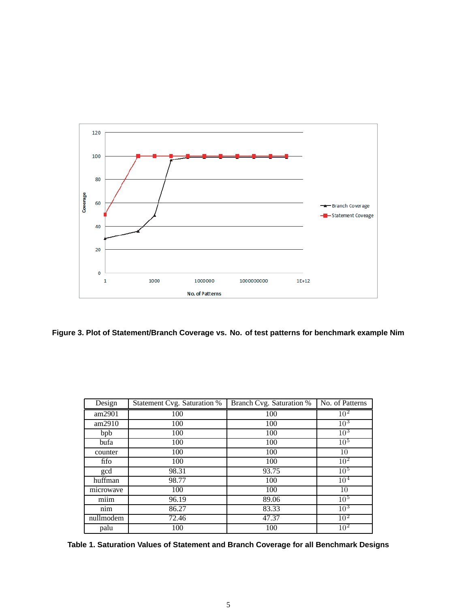

**Figure 3. Plot of Statement/Branch Coverage vs. No. of test patterns for benchmark example Nim**

| Design    | Statement Cvg. Saturation % | Branch Cvg. Saturation % | No. of Patterns |
|-----------|-----------------------------|--------------------------|-----------------|
| am2901    | 100                         | 100                      | 10 <sup>2</sup> |
| am2910    | 100                         | 100                      | 10 <sup>3</sup> |
| bpb       | 100                         | 100                      | $10^3$          |
| bufa      | 100                         | 100                      | 10 <sup>5</sup> |
| counter   | 100                         | 100                      | 10              |
| fifo      | 100                         | 100                      | 10 <sup>2</sup> |
| gcd       | 98.31                       | 93.75                    | 10 <sup>5</sup> |
| huffman   | 98.77                       | 100                      | $10^{4}$        |
| microwave | 100                         | 100                      | 10              |
| miim      | 96.19                       | 89.06                    | 10 <sup>5</sup> |
| nim       | 86.27                       | 83.33                    | $10^{3}$        |
| nullmodem | 72.46                       | 47.37                    | $10^{2}$        |
| palu      | 100                         | 100                      | 10 <sup>2</sup> |

**Table 1. Saturation Values of Statement and Branch Coverage for all Benchmark Designs**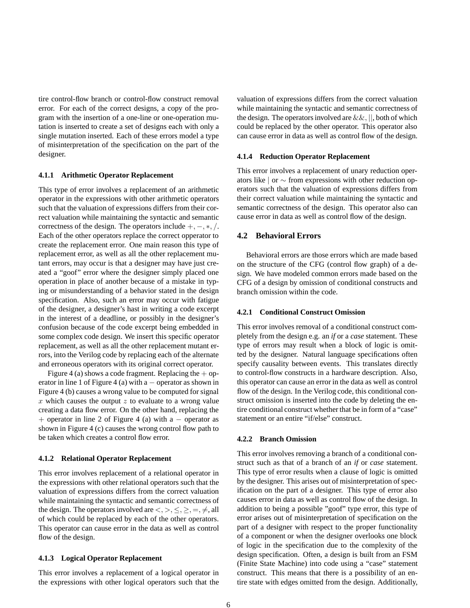tire control-flow branch or control-flow construct removal error. For each of the correct designs, a copy of the program with the insertion of a one-line or one-operation mutation is inserted to create a set of designs each with only a single mutation inserted. Each of these errors model a type of misinterpretation of the specification on the part of the designer.

#### **4.1.1 Arithmetic Operator Replacement**

This type of error involves a replacement of an arithmetic operator in the expressions with other arithmetic operators such that the valuation of expressions differs from their correct valuation while maintaining the syntactic and semantic correctness of the design. The operators include +*,* −*,* ∗*, /*. Each of the other operators replace the correct opperator to create the replacement error. One main reason this type of replacement error, as well as all the other replacement mutant errors, may occur is that a designer may have just created a "goof" error where the designer simply placed one operation in place of another because of a mistake in typing or misunderstanding of a behavior stated in the design specification. Also, such an error may occur with fatigue of the designer, a designer's hast in writing a code excerpt in the interest of a deadline, or possibly in the designer's confusion because of the code excerpt being embedded in some complex code design. We insert this specific operator replacement, as well as all the other replacement mutant errors, into the Verilog code by replacing each of the alternate and erroneous operators with its original correct operator.

Figure 4 (a) shows a code fragment. Replacing the  $+$  operator in line 1 of Figure 4 (a) with a  $-$  operator as shown in Figure 4 (b) causes a wrong value to be computed for signal *x* which causes the output *z* to evaluate to a wrong value creating a data flow error. On the other hand, replacing the + operator in line 2 of Figure 4 (a) with a  $-$  operator as shown in Figure 4 (c) causes the wrong control flow path to be taken which creates a control flow error.

#### **4.1.2 Relational Operator Replacement**

This error involves replacement of a relational operator in the expressions with other relational operators such that the valuation of expressions differs from the correct valuation while maintaining the syntactic and semantic correctness of the design. The operators involved are  $\langle \rangle, \leq, \geq, =, \neq$ , all of which could be replaced by each of the other operators. This operator can cause error in the data as well as control flow of the design.

## **4.1.3 Logical Operator Replacement**

This error involves a replacement of a logical operator in the expressions with other logical operators such that the valuation of expressions differs from the correct valuation while maintaining the syntactic and semantic correctness of the design. The operators involved are  $\&\&$ ,  $||$ , both of which could be replaced by the other operator. This operator also can cause error in data as well as control flow of the design.

#### **4.1.4 Reduction Operator Replacement**

This error involves a replacement of unary reduction operators like | or ∼ from expressions with other reduction operators such that the valuation of expressions differs from their correct valuation while maintaining the syntactic and semantic correctness of the design. This operator also can cause error in data as well as control flow of the design.

## **4.2 Behavioral Errors**

Behavioral errors are those errors which are made based on the structure of the CFG (control flow graph) of a design. We have modeled common errors made based on the CFG of a design by omission of conditional constructs and branch omission within the code.

## **4.2.1 Conditional Construct Omission**

This error involves removal of a conditional construct completely from the design e.g. an *if* or a *case* statement. These type of errors may result when a block of logic is omitted by the designer. Natural language specifications often specify causality between events. This translates directly to control-flow constructs in a hardware description. Also, this operator can cause an error in the data as well as control flow of the design. In the Verilog code, this conditional construct omission is inserted into the code by deleting the entire conditional construct whether that be in form of a "case" statement or an entire "if/else" construct.

#### **4.2.2 Branch Omission**

This error involves removing a branch of a conditional construct such as that of a branch of an *if* or *case* statement. This type of error results when a clause of logic is omitted by the designer. This arises out of misinterpretation of specification on the part of a designer. This type of error also causes error in data as well as control flow of the design. In addition to being a possible "goof" type error, this type of error arises out of misinterpretation of specification on the part of a designer with respect to the proper functionality of a component or when the designer overlooks one block of logic in the specification due to the complexity of the design specification. Often, a design is built from an FSM (Finite State Machine) into code using a "case" statement construct. This means that there is a possibility of an entire state with edges omitted from the design. Additionally,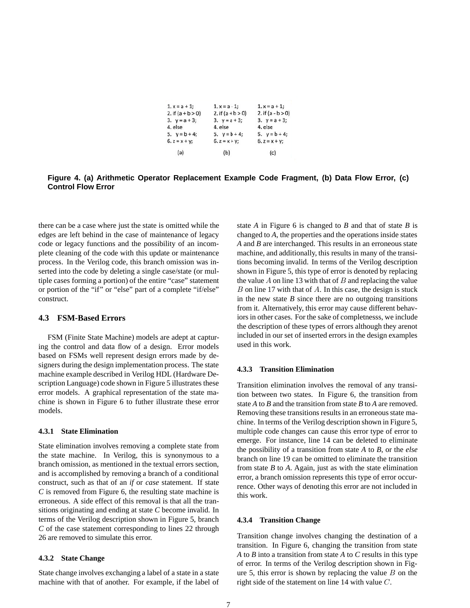| $1. x = a + 1;$     | $1, x = a - 1;$     | $1. x = a + 1$ ;    |
|---------------------|---------------------|---------------------|
| 2. if $(a + b > 0)$ | 2. if $(a + b > 0)$ | 2. if $(a - b > 0)$ |
| 3. $y = a + 3$ ;    | 3. $y = a + 3$ ;    | 3. $y = a + 3$ ;    |
| 4. else             | 4. else             | 4. else             |
| 5. $y = b + 4$ ;    | 5. $y = b + 4$ ;    | 5. $y = b + 4$ ;    |
| $6. z = x + y;$     | $6. z = x + y;$     | $6. z = x + y$ ;    |
| (a)                 | (b)                 | (c)                 |

**Figure 4. (a) Arithmetic Operator Replacement Example Code Fragment, (b) Data Flow Error, (c) Control Flow Error**

there can be a case where just the state is omitted while the edges are left behind in the case of maintenance of legacy code or legacy functions and the possibility of an incomplete cleaning of the code with this update or maintenance process. In the Verilog code, this branch omission was inserted into the code by deleting a single case/state (or multiple cases forming a portion) of the entire "case" statement or portion of the "if" or "else" part of a complete "if/else" construct.

#### **4.3 FSM-Based Errors**

FSM (Finite State Machine) models are adept at capturing the control and data flow of a design. Error models based on FSMs well represent design errors made by designers during the design implementation process. The state machine example described in Verilog HDL (Hardware Description Language) code shown in Figure 5 illustrates these error models. A graphical representation of the state machine is shown in Figure 6 to futher illustrate these error models.

#### **4.3.1 State Elimination**

State elimination involves removing a complete state from the state machine. In Verilog, this is synonymous to a branch omission, as mentioned in the textual errors section, and is accomplished by removing a branch of a conditional construct, such as that of an *if* or *case* statement. If state *C* is removed from Figure 6, the resulting state machine is erroneous. A side effect of this removal is that all the transitions originating and ending at state *C* become invalid. In terms of the Verilog description shown in Figure 5, branch *C* of the case statement corresponding to lines 22 through 26 are removed to simulate this error.

#### **4.3.2 State Change**

State change involves exchanging a label of a state in a state machine with that of another. For example, if the label of state *A* in Figure 6 is changed to *B* and that of state *B* is changed to *A*, the properties and the operations inside states *A* and *B* are interchanged. This results in an erroneous state machine, and additionally, this results in many of the transitions becoming invalid. In terms of the Verilog description shown in Figure 5, this type of error is denoted by replacing the value *A* on line 13 with that of *B* and replacing the value *B* on line 17 with that of *A*. In this case, the design is stuck in the new state  $B$  since there are no outgoing transitions from it. Alternatively, this error may cause different behaviors in other cases. For the sake of completnesss, we include the description of these types of errors although they arenot included in our set of inserted errors in the design examples used in this work.

#### **4.3.3 Transition Elimination**

Transition elimination involves the removal of any transition between two states. In Figure 6, the transition from state *A* to *B* and the transition from state *B* to *A* are removed. Removing these transitions results in an erroneous state machine. In terms of the Verilog description shown in Figure 5, multiple code changes can cause this error type of error to emerge. For instance, line 14 can be deleted to eliminate the possibility of a transition from state *A* to *B*, or the *else* branch on line 19 can be omitted to eliminate the transition from state *B* to *A*. Again, just as with the state elimination error, a branch omission represents this type of error occurrence. Other ways of denoting this error are not included in this work.

#### **4.3.4 Transition Change**

Transition change involves changing the destination of a transition. In Figure 6, changing the transition from state *A* to *B* into a transition from state *A* to *C* results in this type of error. In terms of the Verilog description shown in Figure 5, this error is shown by replacing the value *B* on the right side of the statement on line 14 with value *C*.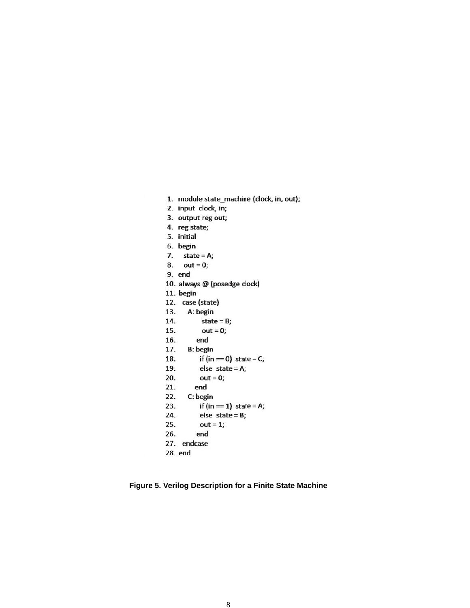```
1. module state_machine (clock, in, out);
```
- 2. input clock, in;
- 3. output reg out;
- 4. reg state;
- 5. initial
- 6. begin
- 7. state =  $A$ ;
- 8.  $out = 0;$
- 9. end
- 10. always @ (posedge clock)
- 11. begin
- 12. case (state)
- A: begin 13.
- 14. state =  $B$ ;
- 15.  $out = 0;$
- 16. end
- 17. **B**: begin
- if  $(in == 0)$  state = C; 18.
- 19. else state =  $A$ ;
- 20.  $out = 0;$
- end 21.
- 22. C: begin
- 23. if (in  $=$  1) state = A;
- else state =  $B$ ; 24. 25.
- $out = 1;$ 26. end
- 27. endcase
- 28. end
- **Figure 5. Verilog Description for a Finite State Machine**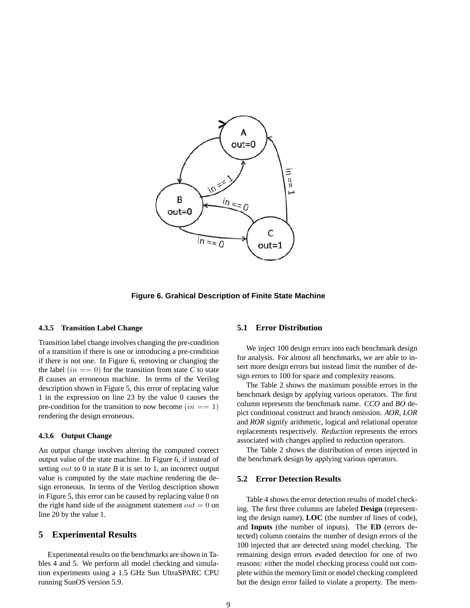

**Figure 6. Grahical Description of Finite State Machine**

#### **4.3.5 Transition Label Change**

Transition label change involves changing the pre-condition of a transition if there is one or introducing a pre-condition if there is not one. In Figure 6, removing or changing the the label  $(in == 0)$  for the transition from state C to state *B* causes an erroneous machine. In terms of the Verilog description shown in Figure 5, this error of replacing value 1 in the expression on line 23 by the value 0 causes the pre-condition for the transition to now become  $(in == 1)$ rendering the design erroneous.

#### **4.3.6 Output Change**

An output change involves altering the computed correct output value of the state machine. In Figure 6, if instead of setting *out* to 0 in state *B* it is set to 1, an incorrect output value is computed by the state machine rendering the design erroneous. In terms of the Verilog description shown in Figure 5, this error can be caused by replacing value 0 on the right hand side of the assignment statement  $out = 0$  on line 20 by the value 1.

## **5 Experimental Results**

Experimental results on the benchmarks are shown in Tables 4 and 5. We perform all model checking and simulation experiments using a 1.5 GHz Sun UltraSPARC CPU running SunOS version 5.9.

#### **5.1 Error Distribution**

We inject 100 design errors into each benchmark design for analysis. For almost all benchmarks, we are able to insert more design errors but instead limit the number of design errors to 100 for space and complexity reasons.

The Table 2 shows the maximum possible errors in the benchmark design by applying various operators. The first column represents the benchmark name. *CCO* and *BO* depict conditional construct and branch omission. *AOR*, *LOR* and *ROR* signify arithmetic, logical and relational operator replacements respectively. *Reduction* represents the errors associated with changes applied to reduction operators.

The Table 2 shows the distribution of errors injected in the benchmark design by applying various operators.

## **5.2 Error Detection Results**

Table 4 shows the error detection results of model checking. The first three columns are labeled **Design** (representing the design name), **LOC** (the number of lines of code), and **Inputs** (the number of inputs). The **ED** (errors detected) column contains the number of design errors of the 100 injected that are detected using model checking. The remaining design errors evaded detection for one of two reasons: either the model checking process could not complete within the memory limit or model checking completed but the design error failed to violate a property. The mem-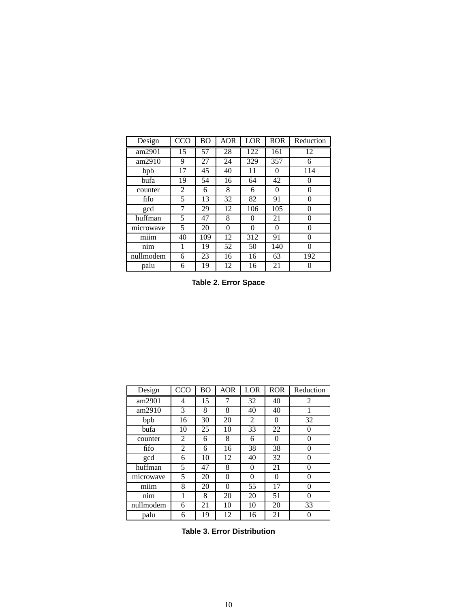| Design    | CCO | ВO  | <b>AOR</b> | LOR | <b>ROR</b> | Reduction |
|-----------|-----|-----|------------|-----|------------|-----------|
| am2901    | 15  | 57  | 28         | 122 | 161        | 12        |
| am2910    | 9   | 27  | 24         | 329 | 357        | 6         |
| bpb       | 17  | 45  | 40         | 11  | $\theta$   | 114       |
| bufa      | 19  | 54  | 16         | 64  | 42         |           |
| counter   | 2   | 6   | 8          | 6   | 0          | $\Omega$  |
| fifo      | 5   | 13  | 32         | 82  | 91         | $\Omega$  |
| gcd       | 7   | 29  | 12         | 106 | 105        | 0         |
| huffman   | 5   | 47  | 8          | 0   | 21         | $\Omega$  |
| microwave | 5   | 20  | 0          | 0   | 0          | 0         |
| miim      | 40  | 109 | 12         | 312 | 91         | 0         |
| nim       | 1   | 19  | 52         | 50  | 140        | 0         |
| nullmodem | 6   | 23  | 16         | 16  | 63         | 192       |
| palu      | 6   | 19  | 12         | 16  | 21         |           |

**Table 2. Error Space**

| Design    | CCO | <b>BO</b> | <b>AOR</b> | LOR      | <b>ROR</b> | Reduction    |
|-----------|-----|-----------|------------|----------|------------|--------------|
| am2901    | 4   | 15        | 7          | 32       | 40         | 2            |
| am2910    | 3   | 8         | 8          | 40       | 40         |              |
| bpb       | 16  | 30        | 20         | 2        | $\theta$   | 32           |
| bufa      | 10  | 25        | 10         | 33       | 22         | 0            |
| counter   | 2   | 6         | 8          | 6        | 0          | 0            |
| fifo      | 2   | 6         | 16         | 38       | 38         | 0            |
| gcd       | 6   | 10        | 12         | 40       | 32         | 0            |
| huffman   | 5   | 47        | 8          | 0        | 21         | $\mathbf{0}$ |
| microwave | 5   | 20        | 0          | $\theta$ | 0          | 0            |
| miim      | 8   | 20        | 0          | 55       | 17         | 0            |
| nim       |     | 8         | 20         | 20       | 51         | ∩            |
| nullmodem | 6   | 21        | 10         | 10       | 20         | 33           |
| palu      | 6   | 19        | 12         | 16       | 21         |              |

**Table 3. Error Distribution**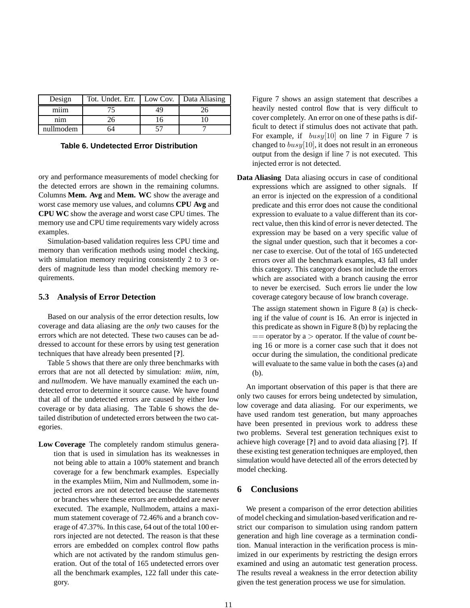| Design    | Tot. Undet. Err.   Low Cov.   Data Aliasing |  |
|-----------|---------------------------------------------|--|
| miim      |                                             |  |
| nım       |                                             |  |
| nullmodem | ⊿ר                                          |  |

**Table 6. Undetected Error Distribution**

ory and performance measurements of model checking for the detected errors are shown in the remaining columns. Columns **Mem. Avg** and **Mem. WC** show the average and worst case memory use values, and columns **CPU Avg** and **CPU WC** show the average and worst case CPU times. The memory use and CPU time requirements vary widely across examples.

Simulation-based validation requires less CPU time and memory than verification methods using model checking, with simulation memory requiring consistently 2 to 3 orders of magnitude less than model checking memory requirements.

#### **5.3 Analysis of Error Detection**

Based on our analysis of the error detection results, low coverage and data aliasing are the *only* two causes for the errors which are not detected. These two causes can be addressed to account for these errors by using test generation techniques that have already been presented [**?**].

Table 5 shows that there are only three benchmarks with errors that are not all detected by simulation: *miim, nim*, and *nullmodem*. We have manually examined the each undetected error to determine it source cause. We have found that all of the undetected errors are caused by either low coverage or by data aliasing. The Table 6 shows the detailed distribution of undetected errors between the two categories.

**Low Coverage** The completely random stimulus generation that is used in simulation has its weaknesses in not being able to attain a 100% statement and branch coverage for a few benchmark examples. Especially in the examples Miim, Nim and Nullmodem, some injected errors are not detected because the statements or branches where these errors are embedded are never executed. The example, Nullmodem, attains a maximum statement coverage of 72.46% and a branch coverage of 47.37%. In this case, 64 out of the total 100 errors injected are not detected. The reason is that these errors are embedded on complex control flow paths which are not activated by the random stimulus generation. Out of the total of 165 undetected errors over all the benchmark examples, 122 fall under this category.

Figure 7 shows an assign statement that describes a heavily nested control flow that is very difficult to cover completely. An error on one of these paths is difficult to detect if stimulus does not activate that path. For example, if *busy*[10] on line 7 in Figure 7 is changed to *busy*[10], it does not result in an erroneous output from the design if line 7 is not executed. This injected error is not detected.

**Data Aliasing** Data aliasing occurs in case of conditional expressions which are assigned to other signals. If an error is injected on the expression of a conditional predicate and this error does not cause the conditional expression to evaluate to a value different than its correct value, then this kind of error is never detected. The expression may be based on a very specific value of the signal under question, such that it becomes a corner case to exercise. Out of the total of 165 undetected errors over all the benchmark examples, 43 fall under this category. This category does not include the errors which are associated with a branch causing the error to never be exercised. Such errors lie under the low coverage category because of low branch coverage.

The assign statement shown in Figure 8 (a) is checking if the value of *count* is 16. An error is injected in this predicate as shown in Figure 8 (b) by replacing the == operator by a *>* operator. If the value of *count* being 16 or more is a corner case such that it does not occur during the simulation, the conditional predicate will evaluate to the same value in both the cases (a) and (b).

An important observation of this paper is that there are only two causes for errors being undetected by simulation, low coverage and data aliasing. For our experiments, we have used random test generation, but many approaches have been presented in previous work to address these two problems. Several test generation techniques exist to achieve high coverage [**?**] and to avoid data aliasing [**?**]. If these existing test generation techniques are employed, then simulation would have detected all of the errors detected by model checking.

## **6 Conclusions**

We present a comparison of the error detection abilities of model checking and simulation-based verification and restrict our comparison to simulation using random pattern generation and high line coverage as a termination condition. Manual interaction in the verification process is minimized in our experiments by restricting the design errors examined and using an automatic test generation process. The results reveal a weakness in the error detection ability given the test generation process we use for simulation.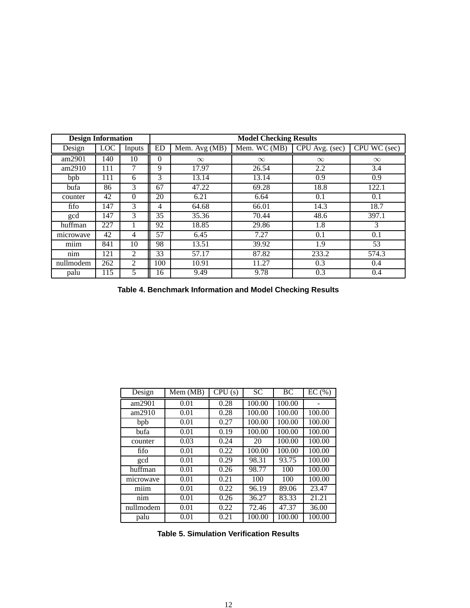| <b>Design Information</b> |            |          | <b>Model Checking Results</b> |                                    |              |                |               |  |
|---------------------------|------------|----------|-------------------------------|------------------------------------|--------------|----------------|---------------|--|
| Design                    | <b>LOC</b> | Inputs   | <b>ED</b>                     | $\overline{\text{Mem}}$ . Avg (MB) | Mem. WC (MB) | CPU Avg. (sec) | CPU WC (sec)  |  |
| am2901                    | 140        | 10       | $\Omega$                      | $\infty$                           | $\infty$     | $\infty$       | $\infty$      |  |
| am2910                    | 111        | 7        | 9                             | 17.97                              | 26.54        | 2.2            | 3.4           |  |
| bpb                       | 111        | 6        | 3                             | 13.14                              | 13.14        | 0.9            | 0.9           |  |
| bufa                      | 86         | 3        | 67                            | 47.22                              | 69.28        | 18.8           | 122.1         |  |
| counter                   | 42         | $\theta$ | 20                            | 6.21                               | 6.64         | 0.1            | 0.1           |  |
| fifo                      | 147        | 3        | 4                             | 64.68                              | 66.01        | 14.3           | 18.7          |  |
| gcd                       | 147        | 3        | 35                            | 35.36                              | 70.44        | 48.6           | 397.1         |  |
| huffman                   | 227        |          | 92                            | 18.85                              | 29.86        | 1.8            | $\mathcal{R}$ |  |
| microwave                 | 42         | 4        | 57                            | 6.45                               | 7.27         | 0.1            | 0.1           |  |
| miim                      | 841        | 10       | 98                            | 13.51                              | 39.92        | 1.9            | 53            |  |
| nim                       | 121        | 2        | 33                            | 57.17                              | 87.82        | 233.2          | 574.3         |  |
| nullmodem                 | 262        | 2        | 100                           | 10.91                              | 11.27        | 0.3            | 0.4           |  |
| palu                      | 115        | 5        | 16                            | 9.49                               | 9.78         | 0.3            | 0.4           |  |

**Table 4. Benchmark Information and Model Checking Results**

| Design    | Mem(MB) | CPU(s) | <b>SC</b> | <b>BC</b> | EC(%)  |
|-----------|---------|--------|-----------|-----------|--------|
| am2901    | 0.01    | 0.28   | 100.00    | 100.00    |        |
| am2910    | 0.01    | 0.28   | 100.00    | 100.00    | 100.00 |
| bpb       | 0.01    | 0.27   | 100.00    | 100.00    | 100.00 |
| bufa      | 0.01    | 0.19   | 100.00    | 100.00    | 100.00 |
| counter   | 0.03    | 0.24   | 20        | 100.00    | 100.00 |
| fifo      | 0.01    | 0.22   | 100.00    | 100.00    | 100.00 |
| gcd       | 0.01    | 0.29   | 98.31     | 93.75     | 100.00 |
| huffman   | 0.01    | 0.26   | 98.77     | 100       | 100.00 |
| microwave | 0.01    | 0.21   | 100       | 100       | 100.00 |
| miim      | 0.01    | 0.22   | 96.19     | 89.06     | 23.47  |
| nim       | 0.01    | 0.26   | 36.27     | 83.33     | 21.21  |
| nullmodem | 0.01    | 0.22   | 72.46     | 47.37     | 36.00  |
| palu      | 0.01    | 0.21   | 100.00    | 100.00    | 100.00 |

**Table 5. Simulation Verification Results**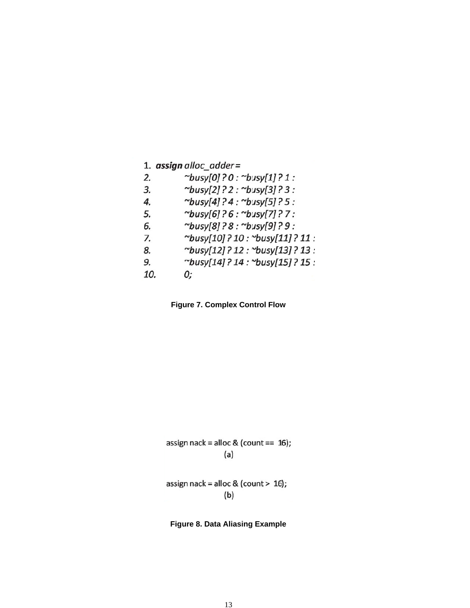|  | 1. $assign$ alloc_adder= |
|--|--------------------------|
|  |                          |

- $\sim$ busy[0]?0:  $\sim$ busy[1]?1:  $2.$
- $\sim$ busy[2]?2:  $\sim$ busy[3]?3: 3.
- $\sim$ busy[4]?4:  $\sim$ busy[5]?5: 4.
- $\sim$ busy[6]?6:  $\sim$ busy[7]?7: 5.
- ~busy[8]?8:~busy[9]?9: 6.
- ~busy[10]?10: ~busy[11]?11: 7.
- ~busy[12]?12: ~busy[13]?13: 8.
- ~busy[14]? 14: ~busy[15]? 15: 9.
- 10.

0;

**Figure 7. Complex Control Flow**

assign 
$$
neck = \text{alloc } 8
$$
 (count == 16);

\n(a)

assign nack = alloc & (count >  $16$ );  $(b)$ 

## **Figure 8. Data Aliasing Example**